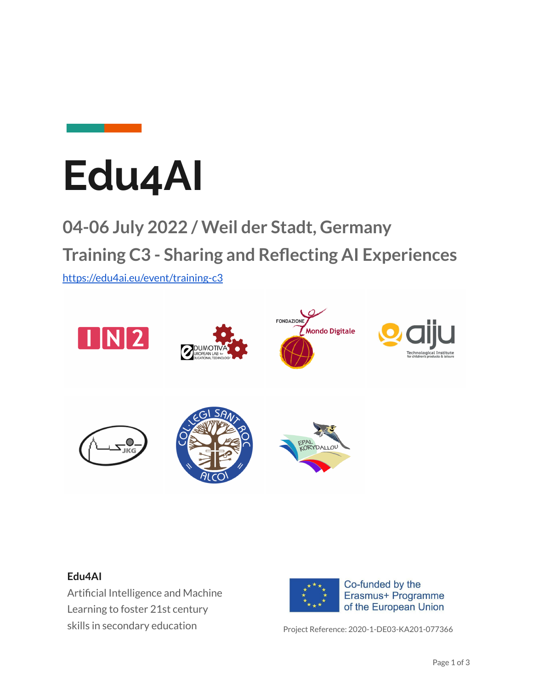



## **04-06 July 2022 / Weil der Stadt, Germany Training C3 - Sharing and Reflecting AI Experiences**

<https://edu4ai.eu/event/training-c3>



#### **Edu4AI**

Artificial Intelligence and Machine Learning to foster 21st century skills in secondary education example of Project Reference: 2020-1-DE03-KA201-077366

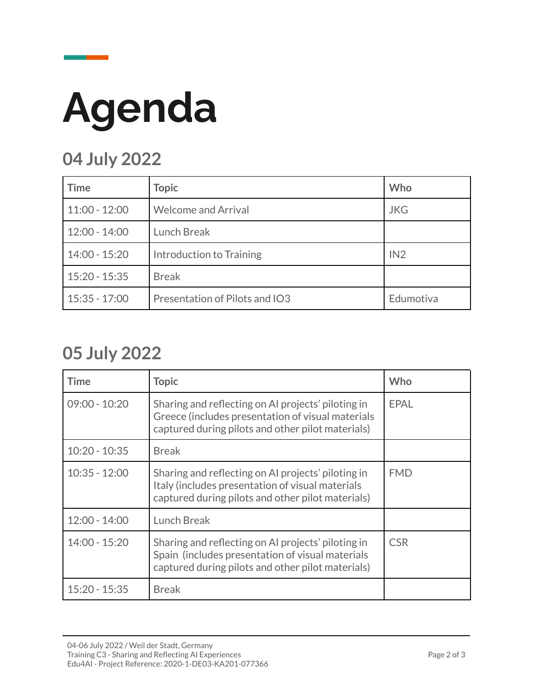# **Agenda**

### **04 July 2022**

| <b>Time</b>     | <b>Topic</b>                   | Who        |
|-----------------|--------------------------------|------------|
| $11:00 - 12:00$ | <b>Welcome and Arrival</b>     | <b>JKG</b> |
| $12:00 - 14:00$ | <b>Lunch Break</b>             |            |
| $14:00 - 15:20$ | Introduction to Training       | IN2        |
| $15:20 - 15:35$ | <b>Break</b>                   |            |
| $15:35 - 17:00$ | Presentation of Pilots and IO3 | Edumotiva  |

#### **05 July 2022**

| Time            | <b>Topic</b>                                                                                                                                                 | Who         |
|-----------------|--------------------------------------------------------------------------------------------------------------------------------------------------------------|-------------|
| $09:00 - 10:20$ | Sharing and reflecting on AI projects' piloting in<br>Greece (includes presentation of visual materials<br>captured during pilots and other pilot materials) | <b>EPAL</b> |
| $10:20 - 10:35$ | <b>Break</b>                                                                                                                                                 |             |
| $10:35 - 12:00$ | Sharing and reflecting on AI projects' piloting in<br>Italy (includes presentation of visual materials<br>captured during pilots and other pilot materials)  | <b>FMD</b>  |
| $12:00 - 14:00$ | <b>Lunch Break</b>                                                                                                                                           |             |
| $14:00 - 15:20$ | Sharing and reflecting on AI projects' piloting in<br>Spain (includes presentation of visual materials<br>captured during pilots and other pilot materials)  | <b>CSR</b>  |
| $15:20 - 15:35$ | <b>Break</b>                                                                                                                                                 |             |